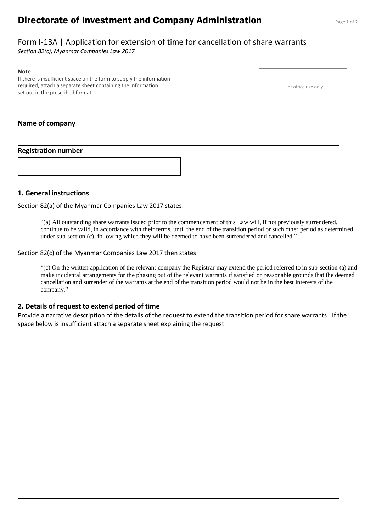# **Directorate of Investment and Company Administration** Page 1 of 2

For office use only

## Form I-13A | Application for extension of time for cancellation of share warrants

*Section 82(c), Myanmar Companies Law 2017*

#### **Note**

If there is insufficient space on the form to supply the information required, attach a separate sheet containing the information set out in the prescribed format.

#### **Name of company**

#### **Registration number**



Section 82(a) of the Myanmar Companies Law 2017 states:

"(a) All outstanding share warrants issued prior to the commencement of this Law will, if not previously surrendered, continue to be valid, in accordance with their terms, until the end of the transition period or such other period as determined under sub-section (c), following which they will be deemed to have been surrendered and cancelled."

Section 82(c) of the Myanmar Companies Law 2017 then states:

"(c) On the written application of the relevant company the Registrar may extend the period referred to in sub-section (a) and make incidental arrangements for the phasing out of the relevant warrants if satisfied on reasonable grounds that the deemed cancellation and surrender of the warrants at the end of the transition period would not be in the best interests of the company."

#### **2. Details of request to extend period of time**

Provide a narrative description of the details of the request to extend the transition period for share warrants. If the space below is insufficient attach a separate sheet explaining the request.